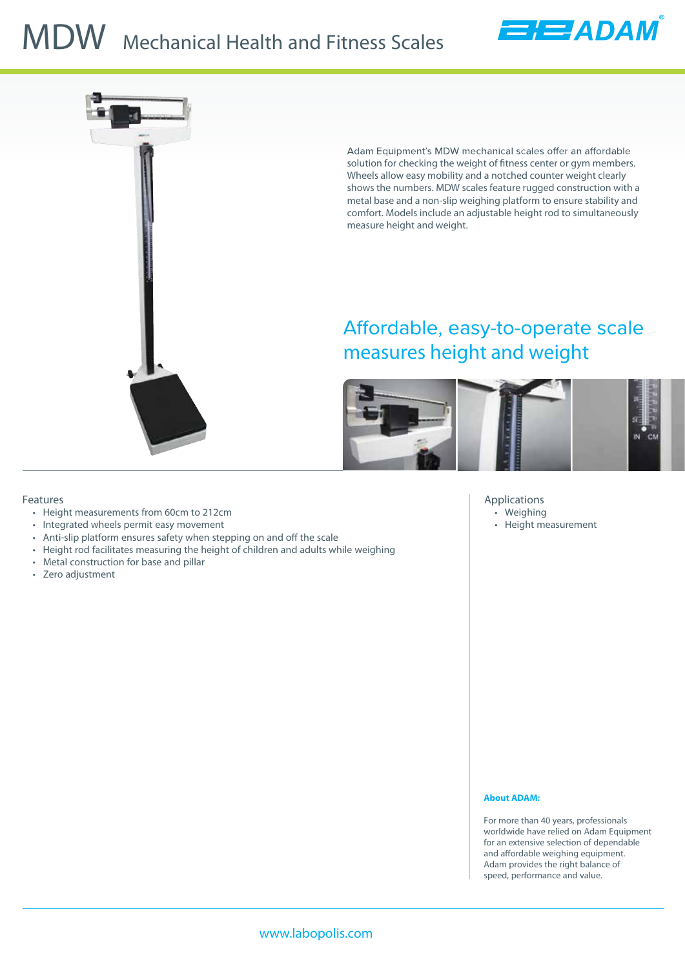# **MDW** Mechanical Health and Fitness Scales



Adam Equipment's MDW mechanical scales offer an affordable solution for checking the weight of fitness center or gym members. Wheels allow easy mobility and a notched counter weight clearly shows the numbers. MDW scales feature rugged construction with a metal base and a non-slip weighing platform to ensure stability and comfort. Models include an adjustable height rod to simultaneously measure height and weight.

EEADAM

## Affordable, easy-to-operate scale measures height and weight



### **Features**

- Height measurements from 60cm to 212cm
- Integrated wheels permit easy movement
- Anti-slip platform ensures safety when stepping on and off the scale
- Height rod facilitates measuring the height of children and adults while weighing
- Metal construction for base and pillar
- Zero adjustment

### **Applications**

- Weighing
- Height measurement

### **About ADAM:**

For more than 40 years, professionals worldwide have relied on Adam Equipment for an extensive selection of dependable and affordable weighing equipment. Adam provides the right balance of speed, performance and value.